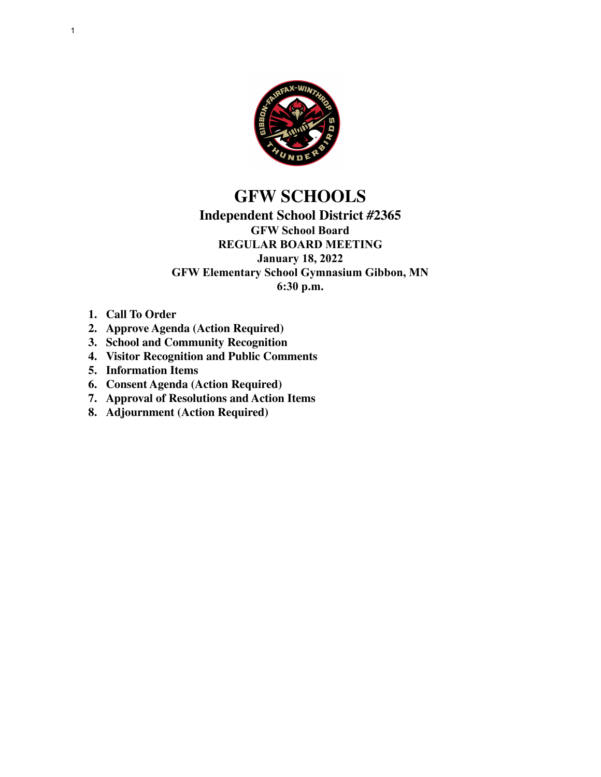

# **GFW SCHOOLS**

## **Independent School District #2365 GFW School Board REGULAR BOARD MEETING January 18, 2022 GFW Elementary School Gymnasium Gibbon, MN 6:30 p.m.**

- **1. Call To Order**
- **2. Approve Agenda (Action Required)**
- **3. School and Community Recognition**
- **4. Visitor Recognition and Public Comments**
- **5. Information Items**
- **6. Consent Agenda (Action Required)**
- **7. Approval of Resolutions and Action Items**
- **8. Adjournment (Action Required)**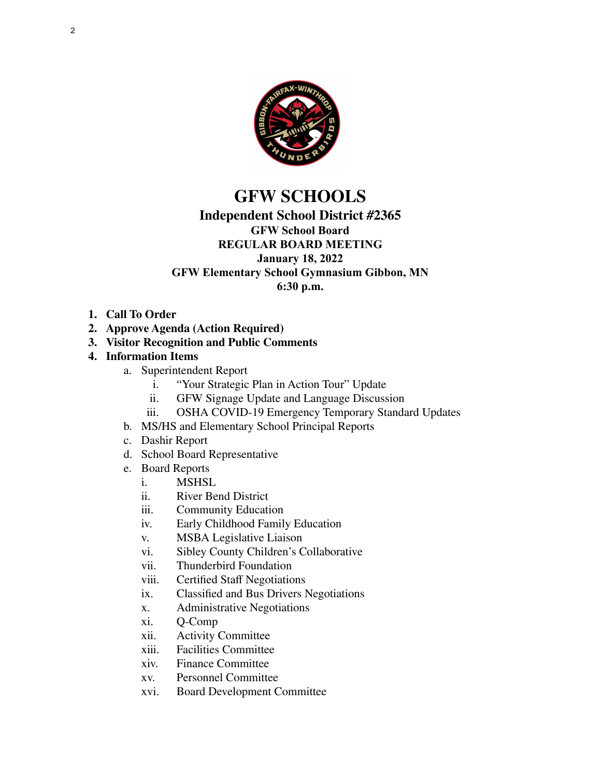

# **GFW SCHOOLS**

## **Independent School District #2365**

**GFW School Board**

#### **REGULAR BOARD MEETING January 18, 2022**

## **GFW Elementary School Gymnasium Gibbon, MN**

**6:30 p.m.**

- **1. Call To Order**
- **2. Approve Agenda (Action Required)**
- **3. Visitor Recognition and Public Comments**

## **4. Information Items**

- a. Superintendent Report
	- i. "Your Strategic Plan in Action Tour" Update
	- ii. GFW Signage Update and Language Discussion
	- iii. OSHA COVID-19 Emergency Temporary Standard Updates
- b. MS/HS and Elementary School Principal Reports
- c. Dashir Report
- d. School Board Representative
- e. Board Reports
	- **MSHSL**
	- ii. River Bend District
	- iii. Community Education
	- iv. Early Childhood Family Education
	- v. MSBA Legislative Liaison
	- vi. Sibley County Children's Collaborative
	- vii. Thunderbird Foundation
	- viii. Certified Staff Negotiations
	- ix. Classified and Bus Drivers Negotiations
	- x. Administrative Negotiations
	- xi. Q-Comp
	- xii. Activity Committee
	- xiii. Facilities Committee
	- xiv. Finance Committee
	- xv. Personnel Committee
	- xvi. Board Development Committee